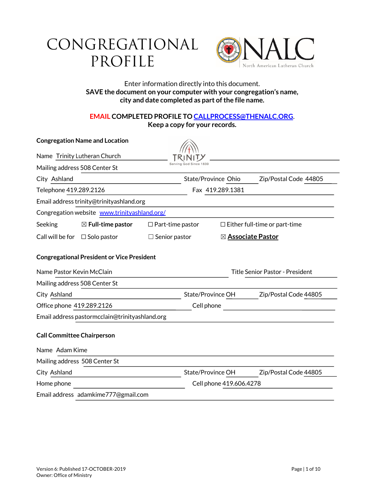# CONGREGATIONAL PROFILE



# Enter information directly into this document. **SAVE the document on your computer with your congregation's name, city and date completed as part of the file name.**

# **EMAIL COMPLETED PROFILE TO CALLPROCESS@THENALC.ORG**. **Keep a copy for your records.**

|                                                   | <b>Congregation Name and Location</b>    |                                              |                                        |                                      |  |
|---------------------------------------------------|------------------------------------------|----------------------------------------------|----------------------------------------|--------------------------------------|--|
| Name Trinity Lutheran Church                      |                                          |                                              |                                        |                                      |  |
|                                                   | Mailing address 508 Center St            |                                              |                                        |                                      |  |
| City Ashland                                      |                                          | State/Province Ohio<br>Zip/Postal Code 44805 |                                        |                                      |  |
| Telephone 419.289.2126                            |                                          | Fax 419.289.1381                             |                                        |                                      |  |
|                                                   | Email address trinity@trinityashland.org |                                              |                                        |                                      |  |
| Congregation website www.trinityashland.org/      |                                          |                                              |                                        |                                      |  |
| Seeking                                           | $\boxtimes$ Full-time pastor             | $\Box$ Part-time pastor                      |                                        | $\Box$ Either full-time or part-time |  |
|                                                   | Call will be for $\Box$ Solo pastor      | $\Box$ Senior pastor                         |                                        | ⊠ <b>Associate Pastor</b>            |  |
| <b>Congregational President or Vice President</b> |                                          |                                              |                                        |                                      |  |
| Name Pastor Kevin McClain                         |                                          |                                              | <b>Title Senior Pastor - President</b> |                                      |  |
|                                                   | Mailing address 508 Center St            |                                              |                                        |                                      |  |
| City Ashland                                      |                                          | State/Province OH                            |                                        | Zip/Postal Code 44805                |  |
| Office phone 419.289.2126                         |                                          | Cell phone                                   |                                        |                                      |  |
| Email address pastormcclain@trinityashland.org    |                                          |                                              |                                        |                                      |  |
| <b>Call Committee Chairperson</b>                 |                                          |                                              |                                        |                                      |  |
| Name Adam Kime                                    |                                          |                                              |                                        |                                      |  |
|                                                   | Mailing address 508 Center St            |                                              |                                        |                                      |  |
| City Ashland                                      |                                          | State/Province OH                            |                                        | Zip/Postal Code 44805                |  |
| Home phone                                        |                                          |                                              | Cell phone 419.606.4278                |                                      |  |
|                                                   | Email address adamkime777@gmail.com      |                                              |                                        |                                      |  |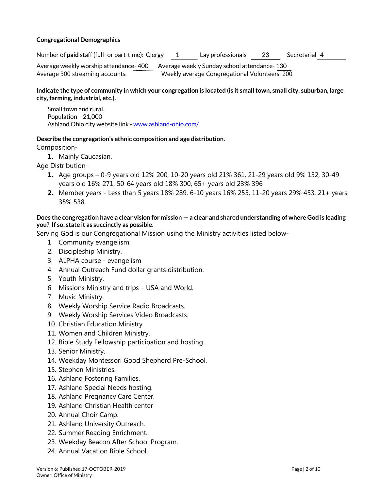# **Congregational Demographics**

Number of **paid** staff (full- or part-time): Clergy 1 Lay professionals 23 Secretarial 4 Average weekly worship attendance- 400 Average weekly Sunday school attendance- 130 Average 300 streaming accounts. Weekly average Congregational Volunteers: 200

# **Indicate the type of community in which your congregation is located (is it small town, small city, suburban, large city, farming, industrial, etc.).**

Small town and rural. Population – 21,000 Ashland Ohio city website link - www.ashland-ohio.com/

### **Describe the congregation's ethnic composition and age distribution.**

Composition-

**1.** Mainly Caucasian.

Age Distribution-

- **1.** Age groups 0-9 years old 12% 200, 10-20 years old 21% 361, 21-29 years old 9% 152, 30-49 years old 16% 271, 50-64 years old 18% 300, 65+ years old 23% 396
- **2.** Member years Less than 5 years 18% 289, 6-10 years 16% 255, 11-20 years 29% 453, 21+ years 35% 538.

# **Does the congregation have a clear vision for mission — a clear and shared understanding of where God is leading you? If so, state it as succinctly as possible.**

Serving God is our Congregational Mission using the Ministry activities listed below-

- 1. Community evangelism.
- 2. Discipleship Ministry.
- 3. ALPHA course evangelism
- 4. Annual Outreach Fund dollar grants distribution.
- 5. Youth Ministry.
- 6. Missions Ministry and trips USA and World.
- 7. Music Ministry.
- 8. Weekly Worship Service Radio Broadcasts.
- 9. Weekly Worship Services Video Broadcasts.
- 10. Christian Education Ministry.
- 11. Women and Children Ministry.
- 12. Bible Study Fellowship participation and hosting.
- 13. Senior Ministry.
- 14. Weekday Montessori Good Shepherd Pre-School.
- 15. Stephen Ministries.
- 16. Ashland Fostering Families.
- 17. Ashland Special Needs hosting.
- 18. Ashland Pregnancy Care Center.
- 19. Ashland Christian Health center
- 20. Annual Choir Camp.
- 21. Ashland University Outreach.
- 22. Summer Reading Enrichment.
- 23. Weekday Beacon After School Program.
- 24. Annual Vacation Bible School.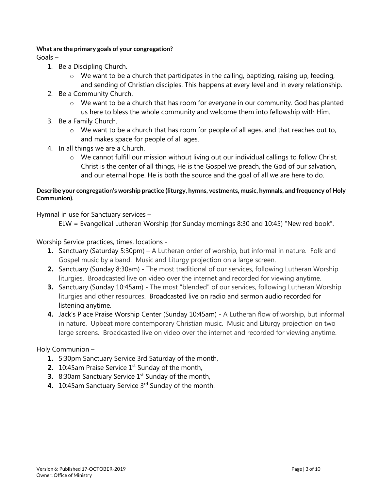# **What are the primary goals of your congregation?**

Goals –

- 1. Be a Discipling Church.
	- $\circ$  We want to be a church that participates in the calling, baptizing, raising up, feeding, and sending of Christian disciples. This happens at every level and in every relationship.
- 2. Be a Community Church.
	- $\circ$  We want to be a church that has room for everyone in our community. God has planted us here to bless the whole community and welcome them into fellowship with Him.
- 3. Be a Family Church.
	- $\circ$  We want to be a church that has room for people of all ages, and that reaches out to, and makes space for people of all ages.
- 4. In all things we are a Church.
	- $\circ$  We cannot fulfill our mission without living out our individual callings to follow Christ. Christ is the center of all things, He is the Gospel we preach, the God of our salvation, and our eternal hope. He is both the source and the goal of all we are here to do.

# **Describe your congregation's worship practice (liturgy, hymns, vestments, music, hymnals, and frequency of Holy Communion).**

Hymnal in use for Sanctuary services –

ELW = Evangelical Lutheran Worship (for Sunday mornings 8:30 and 10:45) "New red book".

Worship Service practices, times, locations -

- **1.** Sanctuary (Saturday 5:30pm) A Lutheran order of worship, but informal in nature. Folk and Gospel music by a band. Music and Liturgy projection on a large screen.
- **2.** Sanctuary (Sunday 8:30am) The most traditional of our services, following Lutheran Worship liturgies. Broadcasted live on video over the internet and recorded for viewing anytime.
- **3.** Sanctuary (Sunday 10:45am) The most "blended" of our services, following Lutheran Worship liturgies and other resources. Broadcasted live on radio and sermon audio recorded for listening anytime.
- **4.** Jack's Place Praise Worship Center (Sunday 10:45am) A Lutheran flow of worship, but informal in nature. Upbeat more contemporary Christian music. Music and Liturgy projection on two large screens. Broadcasted live on video over the internet and recorded for viewing anytime.

# Holy Communion –

- **1.** 5:30pm Sanctuary Service 3rd Saturday of the month,
- **2.** 10:45am Praise Service 1<sup>st</sup> Sunday of the month,
- **3.** 8:30am Sanctuary Service 1<sup>st</sup> Sunday of the month,
- **4.** 10:45am Sanctuary Service 3rd Sunday of the month.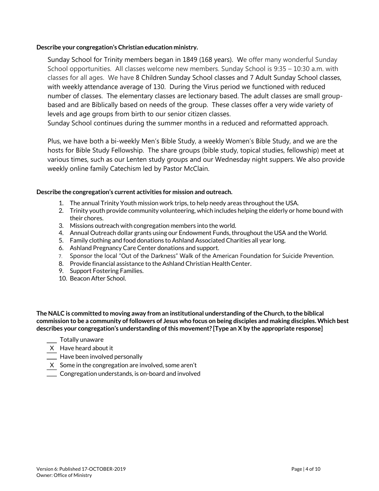### **Describe your congregation's Christian education ministry.**

Sunday School for Trinity members began in 1849 (168 years). We offer many wonderful Sunday School opportunities. All classes welcome new members. Sunday School is 9:35 – 10:30 a.m. with classes for all ages. We have 8 Children Sunday School classes and 7 Adult Sunday School classes, with weekly attendance average of 130. During the Virus period we functioned with reduced number of classes. The elementary classes are lectionary based. The adult classes are small groupbased and are Biblically based on needs of the group. These classes offer a very wide variety of levels and age groups from birth to our senior citizen classes.

Sunday School continues during the summer months in a reduced and reformatted approach.

Plus, we have both a bi-weekly Men's Bible Study, a weekly Women's Bible Study, and we are the hosts for Bible Study Fellowship. The share groups (bible study, topical studies, fellowship) meet at various times, such as our Lenten study groups and our Wednesday night suppers. We also provide weekly online family Catechism led by Pastor McClain.

### **Describe the congregation's current activities for mission and outreach.**

- 1. The annual Trinity Youth mission work trips, to help needy areas throughout the USA.
- 2. Trinity youth provide community volunteering, which includes helping the elderly or home bound with their chores.
- 3. Missions outreach with congregation members into the world.
- 4. Annual Outreach dollar grants using our Endowment Funds, throughout the USA and the World.
- 5. Family clothing and food donations to Ashland Associated Charities all year long.
- 6. Ashland Pregnancy Care Center donations and support.
- 7. Sponsor the local "Out of the Darkness" Walk of the American Foundation for Suicide Prevention.
- 8. Provide financial assistance to the Ashland Christian Health Center.
- 9. Support Fostering Families.
- 10. Beacon After School.

The NALC is committed to moving away from an institutional understanding of the Church, to the biblical **commission to be a community of followers of Jesus who focus on being disciples and making disciples. Which best describes your congregation's understanding of this movement? [Type an X by the appropriate response]**

- **Totally unaware**
- X Have heard about it
- $\equiv$  Have been involved personally
- $X$  Some in the congregation are involved, some aren't
- Congregation understands, is on-board and involved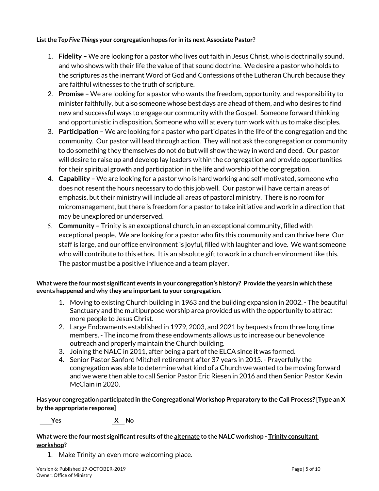**Listthe** *Top Five Things* **your congregation hopes for in its next Associate Pastor?**

- 1. **Fidelity –** We are looking for a pastor who lives out faith in Jesus Christ, who is doctrinally sound, and who shows with their life the value of that sound doctrine. We desire a pastor who holds to the scriptures as the inerrant Word of God and Confessions of the Lutheran Church because they are faithful witnesses to the truth of scripture.
- 2. **Promise –** We are looking for a pastor who wants the freedom, opportunity, and responsibility to minister faithfully, but also someone whose best days are ahead of them, and who desires to find new and successful ways to engage our community with the Gospel. Someone forward thinking and opportunistic in disposition. Someone who will at every turn work with us to make disciples.
- 3. **Participation –** We are looking for a pastor who participates in the life of the congregation and the community. Our pastor will lead through action. They will not ask the congregation or community to do something they themselves do not do but will show the way in word and deed. Our pastor will desire to raise up and develop lay leaders within the congregation and provide opportunities for their spiritual growth and participation in the life and worship of the congregation.
- 4. **Capability –** We are looking for a pastor who is hard working and self-motivated, someone who does not resent the hours necessary to do this job well. Our pastor will have certain areas of emphasis, but their ministry will include all areas of pastoral ministry. There is no room for micromanagement, but there is freedom for a pastor to take initiative and work in a direction that may be unexplored or underserved.
- 5. **Community –** Trinity is an exceptional church, in an exceptional community, filled with exceptional people. We are looking for a pastor who fits this community and can thrive here. Our staff is large, and our office environment is joyful, filled with laughter and love. We want someone who will contribute to this ethos. It is an absolute gift to work in a church environment like this. The pastor must be a positive influence and a team player.

# **What were the four most significant events in your congregation's history? Provide the years in which these events happened and why they are important to your congregation.**

- 1. Moving to existing Church building in 1963 and the building expansion in 2002. The beautiful Sanctuary and the multipurpose worship area provided us with the opportunity to attract more people to Jesus Christ.
- 2. Large Endowments established in 1979, 2003, and 2021 by bequests from three long time members. - The income from these endowments allows us to increase our benevolence outreach and properly maintain the Church building.
- 3. Joining the NALC in 2011, after being a part of the ELCA since it was formed.
- 4. Senior Pastor Sanford Mitchell retirement after 37 years in 2015. Prayerfully the congregation was able to determine what kind of a Church we wanted to be moving forward and we were then able to call Senior Pastor Eric Riesen in 2016 and then Senior Pastor Kevin McClain in 2020.

**Has your congregation participated in the Congregational Workshop Preparatory to the Call Process? [Type an X by the appropriate response]**

 **Yes X No**

**What were the four most significant results of the alternate to the NALC workshop - Trinity consultant workshop?**

1. Make Trinity an even more welcoming place.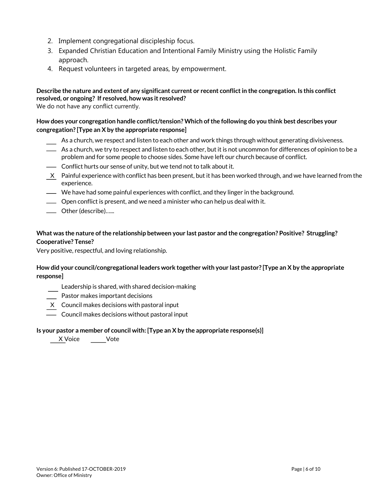- 2. Implement congregational discipleship focus.
- 3. Expanded Christian Education and Intentional Family Ministry using the Holistic Family approach.
- 4. Request volunteers in targeted areas, by empowerment.

# **Describe the nature and extent of any significant current or recent conflict in the congregation. Is this conflict resolved, or ongoing? If resolved, how was it resolved?**

We do not have any conflict currently.

# **How does your congregation handle conflict/tension? Which of the following do you think best describes your congregation? [Type an X by the appropriate response]**

- As a church, we respect and listen to each other and work things through without generating divisiveness.
- As a church, we try to respect and listen to each other, but it is not uncommon for differences of opinion to be a problem and for some people to choose sides. Some have left our church because of conflict.
- **-** Conflict hurts our sense of unity, but we tend not to talk about it.
- X Painful experience with conflict has been present, but it has been worked through, and we have learned from the experience.
- We have had some painful experiences with conflict, and they linger in the background.
- Open conflict is present, and we need a minister who can help us deal with it.
- Other (describe)…...

# **What was the nature of the relationship between your last pastor and the congregation? Positive? Struggling? Cooperative? Tense?**

Very positive, respectful, and loving relationship.

# **How did your council/congregational leaders work together with your last pastor? [Type an X by the appropriate response]**

- Leadership is shared, with shared decision-making
- Pastor makes important decisions
- X Council makes decisions with pastoral input
- **-** Council makes decisions without pastoral input

### **Is your pastor a member of council with: [Type an X by the appropriate response(s)]**

X Voice Vote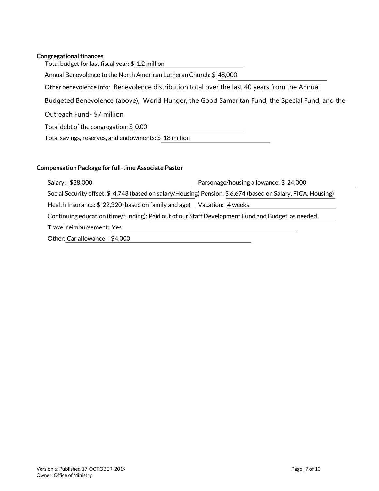# **Congregational finances**

| Total budget for last fiscal year: \$1.2 million                                               |
|------------------------------------------------------------------------------------------------|
| Annual Benevolence to the North American Lutheran Church: \$48,000                             |
| Other benevolence info: Benevolence distribution total over the last 40 years from the Annual  |
| Budgeted Benevolence (above), World Hunger, the Good Samaritan Fund, the Special Fund, and the |
| Outreach Fund-\$7 million.                                                                     |
| Total debt of the congregation: \$ 0.00                                                        |
| Total savings, reserves, and endowments: \$18 million                                          |
|                                                                                                |

# **Compensation Package for full-time Associate Pastor**

| Salary: \$38,000                                                                                            | Parsonage/housing allowance: \$24,000 |  |  |  |  |
|-------------------------------------------------------------------------------------------------------------|---------------------------------------|--|--|--|--|
| Social Security offset: \$4,743 (based on salary/Housing) Pension: \$6,674 (based on Salary, FICA, Housing) |                                       |  |  |  |  |
| Health Insurance: \$22,320 (based on family and age) Vacation: 4 weeks                                      |                                       |  |  |  |  |
| Continuing education (time/funding): Paid out of our Staff Development Fund and Budget, as needed.          |                                       |  |  |  |  |
| Travel reimbursement: Yes                                                                                   |                                       |  |  |  |  |
| Other: Car allowance = $$4,000$                                                                             |                                       |  |  |  |  |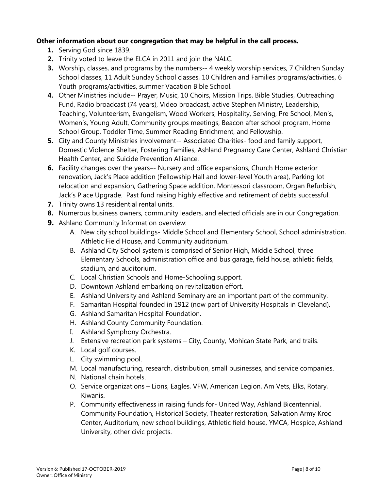# **Other information about our congregation that may be helpful in the call process.**

- **1.** Serving God since 1839.
- **2.** Trinity voted to leave the ELCA in 2011 and join the NALC.
- **3.** Worship, classes, and programs by the numbers-- 4 weekly worship services, 7 Children Sunday School classes, 11 Adult Sunday School classes, 10 Children and Families programs/activities, 6 Youth programs/activities, summer Vacation Bible School.
- **4.** Other Ministries include-- Prayer, Music, 10 Choirs, Mission Trips, Bible Studies, Outreaching Fund, Radio broadcast (74 years), Video broadcast, active Stephen Ministry, Leadership, Teaching, Volunteerism, Evangelism, Wood Workers, Hospitality, Serving, Pre School, Men's, Women's, Young Adult, Community groups meetings, Beacon after school program, Home School Group, Toddler Time, Summer Reading Enrichment, and Fellowship.
- **5.** City and County Ministries involvement-- Associated Charities- food and family support, Domestic Violence Shelter, Fostering Families, Ashland Pregnancy Care Center, Ashland Christian Health Center, and Suicide Prevention Alliance.
- **6.** Facility changes over the years–- Nursery and office expansions, Church Home exterior renovation, Jack's Place addition (Fellowship Hall and lower-level Youth area), Parking lot relocation and expansion, Gathering Space addition, Montessori classroom, Organ Refurbish, Jack's Place Upgrade. Past fund raising highly effective and retirement of debts successful.
- **7.** Trinity owns 13 residential rental units.
- **8.** Numerous business owners, community leaders, and elected officials are in our Congregation.
- **9.** Ashland Community Information overview:
	- A. New city school buildings- Middle School and Elementary School, School administration, Athletic Field House, and Community auditorium.
	- B. Ashland City School system is comprised of Senior High, Middle School, three Elementary Schools, administration office and bus garage, field house, athletic fields, stadium, and auditorium.
	- C. Local Christian Schools and Home-Schooling support.
	- D. Downtown Ashland embarking on revitalization effort.
	- E. Ashland University and Ashland Seminary are an important part of the community.
	- F. Samaritan Hospital founded in 1912 (now part of University Hospitals in Cleveland).
	- G. Ashland Samaritan Hospital Foundation.
	- H. Ashland County Community Foundation.
	- I. Ashland Symphony Orchestra.
	- J. Extensive recreation park systems City, County, Mohican State Park, and trails.
	- K. Local golf courses.
	- L. City swimming pool.
	- M. Local manufacturing, research, distribution, small businesses, and service companies.
	- N. National chain hotels.
	- O. Service organizations Lions, Eagles, VFW, American Legion, Am Vets, Elks, Rotary, Kiwanis.
	- P. Community effectiveness in raising funds for- United Way, Ashland Bicentennial, Community Foundation, Historical Society, Theater restoration, Salvation Army Kroc Center, Auditorium, new school buildings, Athletic field house, YMCA, Hospice, Ashland University, other civic projects.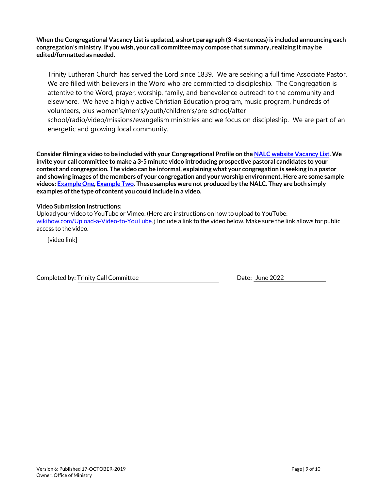**When the Congregational Vacancy List is updated, a short paragraph (3-4 sentences) is included announcing each congregation's ministry. If you wish, your call committee may compose that summary, realizing it may be edited/formatted as needed.**

Trinity Lutheran Church has served the Lord since 1839. We are seeking a full time Associate Pastor. We are filled with believers in the Word who are committed to discipleship. The Congregation is attentive to the Word, prayer, worship, family, and benevolence outreach to the community and elsewhere. We have a highly active Christian Education program, music program, hundreds of volunteers, plus women's/men's/youth/children's/pre-school/after

school/radio/video/missions/evangelism ministries and we focus on discipleship. We are part of an energetic and growing local community.

**Consider filming a video to be included with your Congregational Profile on the NALC website Vacancy List. We invite your call committee to make a 3-5 minute video introducing prospective pastoral candidates to your context and congregation. The video can be informal, explaining what your congregation is seeking in a pastor and showing images of the members of your congregation and your worship environment. Here are some sample videos: Example One, Example Two. These samples were not produced by the NALC. They are both simply examples of the type of content you could include in a video.**

### **Video Submission Instructions:**

Upload your video to YouTube or Vimeo. (Here are instructions on how to upload to YouTube: wikihow.com/Upload-a-Video-to-YouTube.) Include a link to the video below. Make sure the link allows for public access to the video.

[video link]

Completed by: Trinity Call Committee **Date: 1998** Date: June 2022